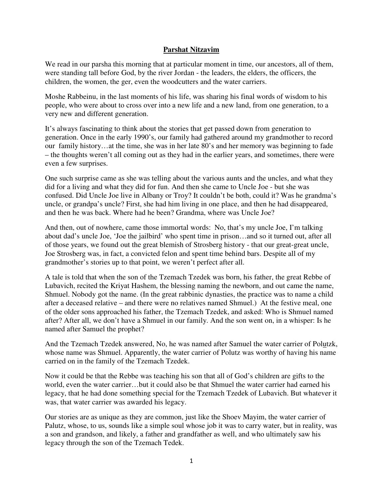## **Parshat Nitzavim**

We read in our parsha this morning that at particular moment in time, our ancestors, all of them, were standing tall before God, by the river Jordan - the leaders, the elders, the officers, the children, the women, the ger, even the woodcutters and the water carriers.

Moshe Rabbeinu, in the last moments of his life, was sharing his final words of wisdom to his people, who were about to cross over into a new life and a new land, from one generation, to a very new and different generation.

It's always fascinating to think about the stories that get passed down from generation to generation. Once in the early 1990's, our family had gathered around my grandmother to record our family history…at the time, she was in her late 80's and her memory was beginning to fade – the thoughts weren't all coming out as they had in the earlier years, and sometimes, there were even a few surprises.

One such surprise came as she was telling about the various aunts and the uncles, and what they did for a living and what they did for fun. And then she came to Uncle Joe - but she was confused. Did Uncle Joe live in Albany or Troy? It couldn't be both, could it? Was he grandma's uncle, or grandpa's uncle? First, she had him living in one place, and then he had disappeared, and then he was back. Where had he been? Grandma, where was Uncle Joe?

And then, out of nowhere, came those immortal words: No, that's my uncle Joe, I'm talking about dad's uncle Joe, 'Joe the jailbird' who spent time in prison…and so it turned out, after all of those years, we found out the great blemish of Strosberg history - that our great-great uncle, Joe Strosberg was, in fact, a convicted felon and spent time behind bars. Despite all of my grandmother's stories up to that point, we weren't perfect after all.

A tale is told that when the son of the Tzemach Tzedek was born, his father, the great Rebbe of Lubavich, recited the Kriyat Hashem, the blessing naming the newborn, and out came the name, Shmuel. Nobody got the name. (In the great rabbinic dynasties, the practice was to name a child after a deceased relative – and there were no relatives named Shmuel.) At the festive meal, one of the older sons approached his father, the Tzemach Tzedek, and asked: Who is Shmuel named after? After all, we don't have a Shmuel in our family. And the son went on, in a whisper: Is he named after Samuel the prophet?

And the Tzemach Tzedek answered, No, he was named after Samuel the water carrier of Polutzk, whose name was Shmuel. Apparently, the water carrier of Polutz was worthy of having his name carried on in the family of the Tzemach Tzedek.

Now it could be that the Rebbe was teaching his son that all of God's children are gifts to the world, even the water carrier…but it could also be that Shmuel the water carrier had earned his legacy, that he had done something special for the Tzemach Tzedek of Lubavich. But whatever it was, that water carrier was awarded his legacy.

Our stories are as unique as they are common, just like the Shoev Mayim, the water carrier of Palutz, whose, to us, sounds like a simple soul whose job it was to carry water, but in reality, was a son and grandson, and likely, a father and grandfather as well, and who ultimately saw his legacy through the son of the Tzemach Tedek.